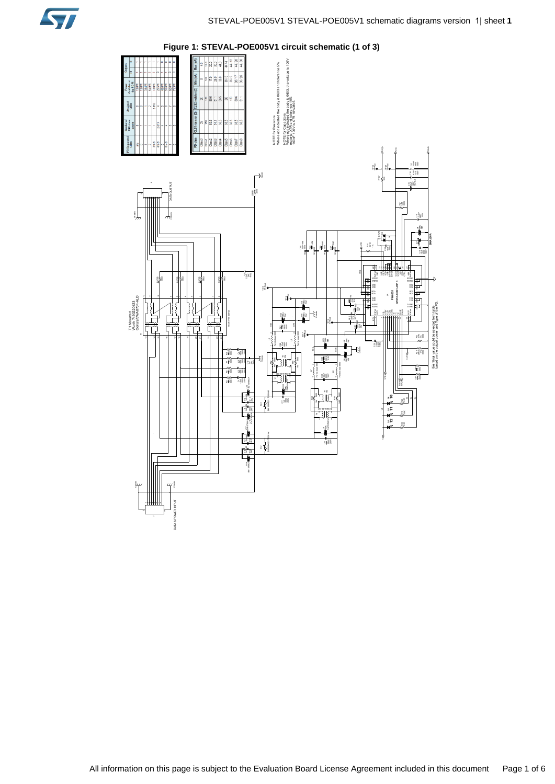

**Figure 1: STEVAL-POE005V1 circuit schematic (1 of 3)**

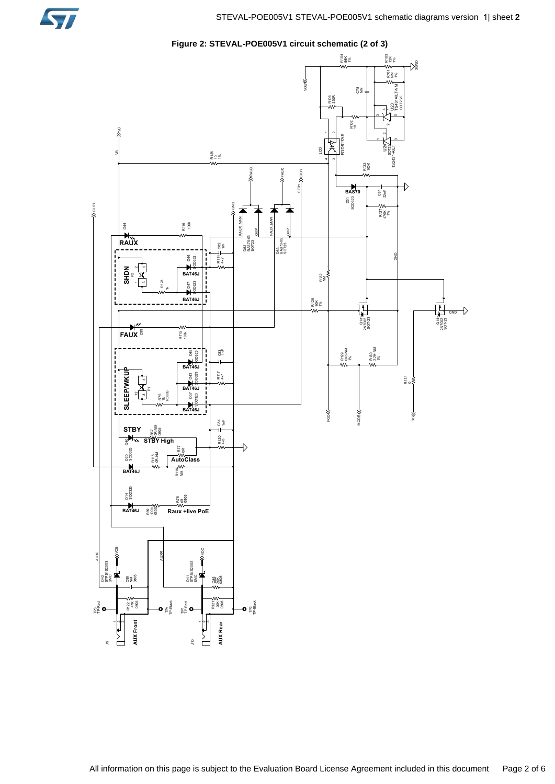

**Figure 2: STEVAL-POE005V1 circuit schematic (2 of 3)**

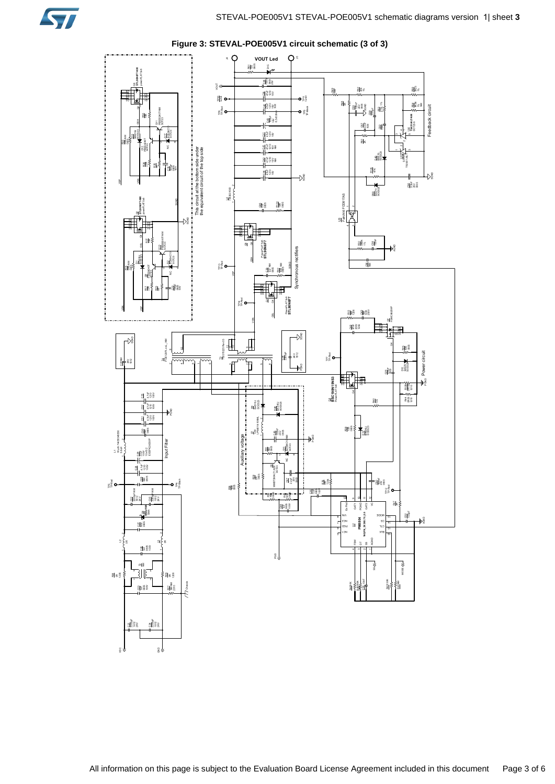

**Figure 3: STEVAL-POE005V1 circuit schematic (3 of 3)**

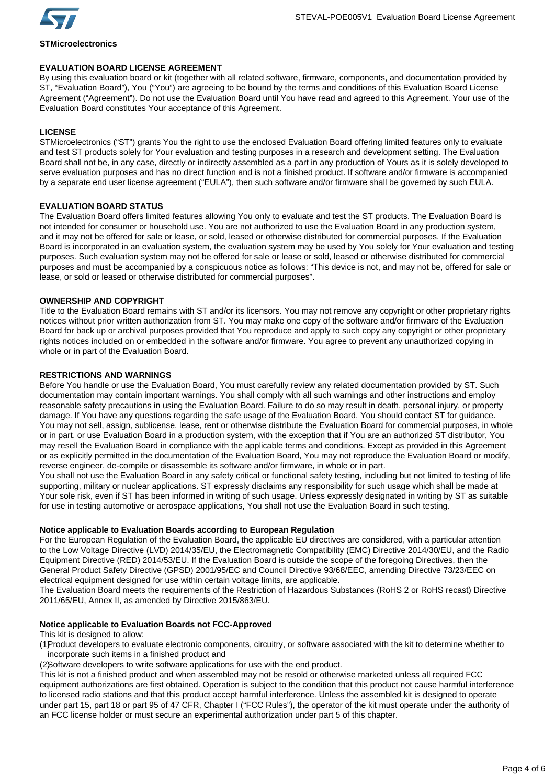

# **STMicroelectronics**

# **EVALUATION BOARD LICENSE AGREEMENT**

By using this evaluation board or kit (together with all related software, firmware, components, and documentation provided by ST, "Evaluation Board"), You ("You") are agreeing to be bound by the terms and conditions of this Evaluation Board License Agreement ("Agreement"). Do not use the Evaluation Board until You have read and agreed to this Agreement. Your use of the Evaluation Board constitutes Your acceptance of this Agreement.

# **LICENSE**

STMicroelectronics ("ST") grants You the right to use the enclosed Evaluation Board offering limited features only to evaluate and test ST products solely for Your evaluation and testing purposes in a research and development setting. The Evaluation Board shall not be, in any case, directly or indirectly assembled as a part in any production of Yours as it is solely developed to serve evaluation purposes and has no direct function and is not a finished product. If software and/or firmware is accompanied by a separate end user license agreement ("EULA"), then such software and/or firmware shall be governed by such EULA.

# **EVALUATION BOARD STATUS**

The Evaluation Board offers limited features allowing You only to evaluate and test the ST products. The Evaluation Board is not intended for consumer or household use. You are not authorized to use the Evaluation Board in any production system, and it may not be offered for sale or lease, or sold, leased or otherwise distributed for commercial purposes. If the Evaluation Board is incorporated in an evaluation system, the evaluation system may be used by You solely for Your evaluation and testing purposes. Such evaluation system may not be offered for sale or lease or sold, leased or otherwise distributed for commercial purposes and must be accompanied by a conspicuous notice as follows: "This device is not, and may not be, offered for sale or lease, or sold or leased or otherwise distributed for commercial purposes".

# **OWNERSHIP AND COPYRIGHT**

Title to the Evaluation Board remains with ST and/or its licensors. You may not remove any copyright or other proprietary rights notices without prior written authorization from ST. You may make one copy of the software and/or firmware of the Evaluation Board for back up or archival purposes provided that You reproduce and apply to such copy any copyright or other proprietary rights notices included on or embedded in the software and/or firmware. You agree to prevent any unauthorized copying in whole or in part of the Evaluation Board.

# **RESTRICTIONS AND WARNINGS**

Before You handle or use the Evaluation Board, You must carefully review any related documentation provided by ST. Such documentation may contain important warnings. You shall comply with all such warnings and other instructions and employ reasonable safety precautions in using the Evaluation Board. Failure to do so may result in death, personal injury, or property damage. If You have any questions regarding the safe usage of the Evaluation Board, You should contact ST for guidance. You may not sell, assign, sublicense, lease, rent or otherwise distribute the Evaluation Board for commercial purposes, in whole or in part, or use Evaluation Board in a production system, with the exception that if You are an authorized ST distributor, You may resell the Evaluation Board in compliance with the applicable terms and conditions. Except as provided in this Agreement or as explicitly permitted in the documentation of the Evaluation Board, You may not reproduce the Evaluation Board or modify, reverse engineer, de-compile or disassemble its software and/or firmware, in whole or in part.

You shall not use the Evaluation Board in any safety critical or functional safety testing, including but not limited to testing of life supporting, military or nuclear applications. ST expressly disclaims any responsibility for such usage which shall be made at Your sole risk, even if ST has been informed in writing of such usage. Unless expressly designated in writing by ST as suitable for use in testing automotive or aerospace applications, You shall not use the Evaluation Board in such testing.

# **Notice applicable to Evaluation Boards according to European Regulation**

For the European Regulation of the Evaluation Board, the applicable EU directives are considered, with a particular attention to the Low Voltage Directive (LVD) 2014/35/EU, the Electromagnetic Compatibility (EMC) Directive 2014/30/EU, and the Radio Equipment Directive (RED) 2014/53/EU. If the Evaluation Board is outside the scope of the foregoing Directives, then the General Product Safety Directive (GPSD) 2001/95/EC and Council Directive 93/68/EEC, amending Directive 73/23/EEC on electrical equipment designed for use within certain voltage limits, are applicable.

The Evaluation Board meets the requirements of the Restriction of Hazardous Substances (RoHS 2 or RoHS recast) Directive 2011/65/EU, Annex II, as amended by Directive 2015/863/EU.

# **Notice applicable to Evaluation Boards not FCC-Approved**

This kit is designed to allow:

(1)Product developers to evaluate electronic components, circuitry, or software associated with the kit to determine whether to incorporate such items in a finished product and

(2)Software developers to write software applications for use with the end product.

This kit is not a finished product and when assembled may not be resold or otherwise marketed unless all required FCC equipment authorizations are first obtained. Operation is subject to the condition that this product not cause harmful interference to licensed radio stations and that this product accept harmful interference. Unless the assembled kit is designed to operate under part 15, part 18 or part 95 of 47 CFR, Chapter I ("FCC Rules"), the operator of the kit must operate under the authority of an FCC license holder or must secure an experimental authorization under part 5 of this chapter.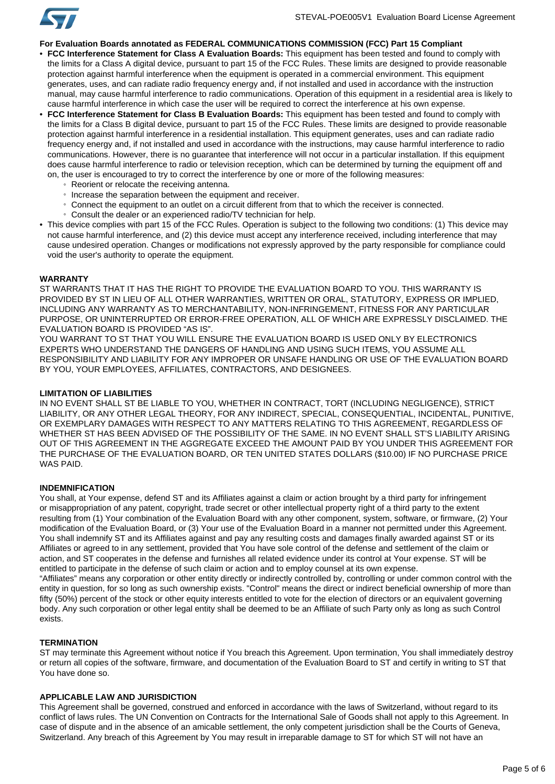

## **For Evaluation Boards annotated as FEDERAL COMMUNICATIONS COMMISSION (FCC) Part 15 Compliant**

- **FCC Interference Statement for Class A Evaluation Boards:** This equipment has been tested and found to comply with the limits for a Class A digital device, pursuant to part 15 of the FCC Rules. These limits are designed to provide reasonable protection against harmful interference when the equipment is operated in a commercial environment. This equipment generates, uses, and can radiate radio frequency energy and, if not installed and used in accordance with the instruction manual, may cause harmful interference to radio communications. Operation of this equipment in a residential area is likely to cause harmful interference in which case the user will be required to correct the interference at his own expense.
- **FCC Interference Statement for Class B Evaluation Boards:** This equipment has been tested and found to comply with the limits for a Class B digital device, pursuant to part 15 of the FCC Rules. These limits are designed to provide reasonable protection against harmful interference in a residential installation. This equipment generates, uses and can radiate radio frequency energy and, if not installed and used in accordance with the instructions, may cause harmful interference to radio communications. However, there is no guarantee that interference will not occur in a particular installation. If this equipment does cause harmful interference to radio or television reception, which can be determined by turning the equipment off and on, the user is encouraged to try to correct the interference by one or more of the following measures:
	- Reorient or relocate the receiving antenna.
	- Increase the separation between the equipment and receiver.
	- Connect the equipment to an outlet on a circuit different from that to which the receiver is connected.
	- Consult the dealer or an experienced radio/TV technician for help.
- This device complies with part 15 of the FCC Rules. Operation is subject to the following two conditions: (1) This device may not cause harmful interference, and (2) this device must accept any interference received, including interference that may cause undesired operation. Changes or modifications not expressly approved by the party responsible for compliance could void the user's authority to operate the equipment.

#### **WARRANTY**

ST WARRANTS THAT IT HAS THE RIGHT TO PROVIDE THE EVALUATION BOARD TO YOU. THIS WARRANTY IS PROVIDED BY ST IN LIEU OF ALL OTHER WARRANTIES, WRITTEN OR ORAL, STATUTORY, EXPRESS OR IMPLIED, INCLUDING ANY WARRANTY AS TO MERCHANTABILITY, NON-INFRINGEMENT, FITNESS FOR ANY PARTICULAR PURPOSE, OR UNINTERRUPTED OR ERROR-FREE OPERATION, ALL OF WHICH ARE EXPRESSLY DISCLAIMED. THE EVALUATION BOARD IS PROVIDED "AS IS".

YOU WARRANT TO ST THAT YOU WILL ENSURE THE EVALUATION BOARD IS USED ONLY BY ELECTRONICS EXPERTS WHO UNDERSTAND THE DANGERS OF HANDLING AND USING SUCH ITEMS, YOU ASSUME ALL RESPONSIBILITY AND LIABILITY FOR ANY IMPROPER OR UNSAFE HANDLING OR USE OF THE EVALUATION BOARD BY YOU, YOUR EMPLOYEES, AFFILIATES, CONTRACTORS, AND DESIGNEES.

#### **LIMITATION OF LIABILITIES**

IN NO EVENT SHALL ST BE LIABLE TO YOU, WHETHER IN CONTRACT, TORT (INCLUDING NEGLIGENCE), STRICT LIABILITY, OR ANY OTHER LEGAL THEORY, FOR ANY INDIRECT, SPECIAL, CONSEQUENTIAL, INCIDENTAL, PUNITIVE, OR EXEMPLARY DAMAGES WITH RESPECT TO ANY MATTERS RELATING TO THIS AGREEMENT, REGARDLESS OF WHETHER ST HAS BEEN ADVISED OF THE POSSIBILITY OF THE SAME. IN NO EVENT SHALL ST'S LIABILITY ARISING OUT OF THIS AGREEMENT IN THE AGGREGATE EXCEED THE AMOUNT PAID BY YOU UNDER THIS AGREEMENT FOR THE PURCHASE OF THE EVALUATION BOARD, OR TEN UNITED STATES DOLLARS (\$10.00) IF NO PURCHASE PRICE WAS PAID.

## **INDEMNIFICATION**

You shall, at Your expense, defend ST and its Affiliates against a claim or action brought by a third party for infringement or misappropriation of any patent, copyright, trade secret or other intellectual property right of a third party to the extent resulting from (1) Your combination of the Evaluation Board with any other component, system, software, or firmware, (2) Your modification of the Evaluation Board, or (3) Your use of the Evaluation Board in a manner not permitted under this Agreement. You shall indemnify ST and its Affiliates against and pay any resulting costs and damages finally awarded against ST or its Affiliates or agreed to in any settlement, provided that You have sole control of the defense and settlement of the claim or action, and ST cooperates in the defense and furnishes all related evidence under its control at Your expense. ST will be entitled to participate in the defense of such claim or action and to employ counsel at its own expense. "Affiliates" means any corporation or other entity directly or indirectly controlled by, controlling or under common control with the entity in question, for so long as such ownership exists. "Control" means the direct or indirect beneficial ownership of more than fifty (50%) percent of the stock or other equity interests entitled to vote for the election of directors or an equivalent governing body. Any such corporation or other legal entity shall be deemed to be an Affiliate of such Party only as long as such Control

## **TERMINATION**

exists.

ST may terminate this Agreement without notice if You breach this Agreement. Upon termination, You shall immediately destroy or return all copies of the software, firmware, and documentation of the Evaluation Board to ST and certify in writing to ST that You have done so.

## **APPLICABLE LAW AND JURISDICTION**

This Agreement shall be governed, construed and enforced in accordance with the laws of Switzerland, without regard to its conflict of laws rules. The UN Convention on Contracts for the International Sale of Goods shall not apply to this Agreement. In case of dispute and in the absence of an amicable settlement, the only competent jurisdiction shall be the Courts of Geneva, Switzerland. Any breach of this Agreement by You may result in irreparable damage to ST for which ST will not have an